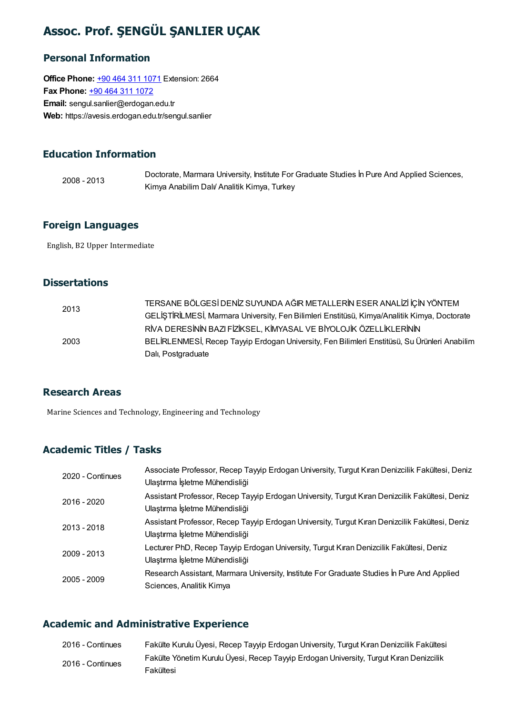## Assoc. Prof. ŞENGÜL ŞANLIER UÇAK

### Personal Information

**Office Phone: +90 464 311 [1071](tel:+90 464 311 1071) Extension: 2664** Fax Phone: +90 464 311 [1072](tel:+90 464 311 1072) Email: sengul.sanlier@erdogan.edu.tr Web: https://avesis.erdogan.edu.tr/sengul.sanlier

## Education Information

2008 - 2013 Doctorate, Marmara University, Institute For Graduate Studies İn Pure And Applied Sciences, Kimya Anabilim Dalı/ Analitik Kimya, Turkey

### Foreign Languages

English, B2 Upper Intermediate

### **Dissertations**

| 2013 | TERSANE BÖLGESİ DENİZ SUYUNDA AĞIR METALLERİN ESER ANALİZİ İÇİN YÖNTEM                       |
|------|----------------------------------------------------------------------------------------------|
|      | GELİŞTİRİLMESİ, Marmara University, Fen Bilimleri Enstitüsü, Kimya/Analitik Kimya, Doctorate |
|      | RİVA DERESİNİN BAZI FİZİKSEL, KİMYASAL VE BİYOLOJİK ÖZELLİKLERİNİN                           |
| 2003 | BELİRLENMESİ, Recep Tayyip Erdogan University, Fen Bilimleri Enstitüsü, Su Ürünleri Anabilim |
|      | Dalı, Postgraduate                                                                           |

#### Research Areas

Marine Sciences and Technology, Engineering and Technology

### Academic Titles / Tasks

| 2020 - Continues | Associate Professor, Recep Tayyip Erdogan University, Turgut Kıran Denizcilik Fakültesi, Deniz<br>Ulaştırma İşletme Mühendisliği |
|------------------|----------------------------------------------------------------------------------------------------------------------------------|
| 2016 - 2020      | Assistant Professor, Recep Tayyip Erdogan University, Turgut Kıran Denizcilik Fakültesi, Deniz<br>Ulaştırma İşletme Mühendisliği |
| 2013 - 2018      | Assistant Professor, Recep Tayyip Erdogan University, Turgut Kıran Denizcilik Fakültesi, Deniz<br>Ulaştırma İşletme Mühendisliği |
| 2009 - 2013      | Lecturer PhD, Recep Tayyip Erdogan University, Turgut Kıran Denizcilik Fakültesi, Deniz<br>Ulaştırma İşletme Mühendisliği        |
| 2005 - 2009      | Research Assistant, Marmara University, Institute For Graduate Studies In Pure And Applied<br>Sciences, Analitik Kimya           |

#### Academic and Administrative Experience

| 2016 - Continues | Fakülte Kurulu Üyesi, Recep Tayyip Erdogan University, Turgut Kıran Denizcilik Fakültesi |
|------------------|------------------------------------------------------------------------------------------|
| 2016 - Continues | Fakülte Yönetim Kurulu Üyesi, Recep Tayyip Erdogan University, Turgut Kıran Denizcilik   |
|                  | Fakültesi                                                                                |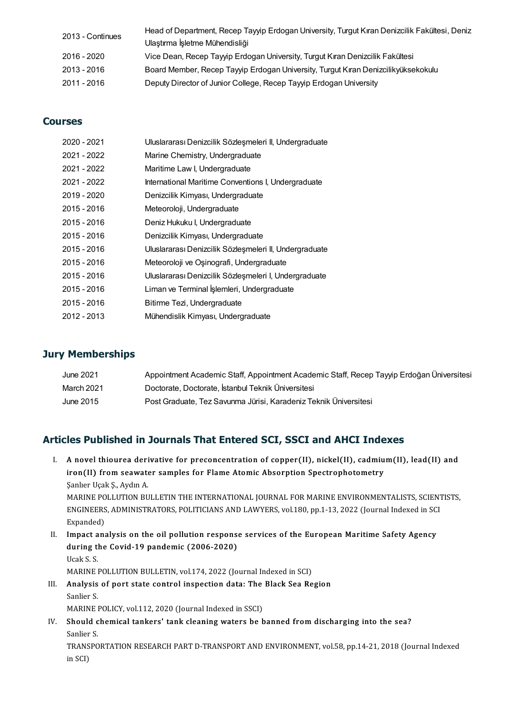| 2013 - Continues | Head of Department, Recep Tayyip Erdogan University, Turgut Kıran Denizcilik Fakültesi, Deniz |
|------------------|-----------------------------------------------------------------------------------------------|
|                  | Ulaştırma İşletme Mühendisliği                                                                |
| 2016 - 2020      | Vice Dean, Recep Tayyip Erdogan University, Turgut Kıran Denizcilik Fakültesi                 |
| 2013 - 2016      | Board Member, Recep Tayyip Erdogan University, Turgut Kıran Denizcilikyüksekokulu             |
| 2011 - 2016      | Deputy Director of Junior College, Recep Tayyip Erdogan University                            |

### Courses

| 2020 - 2021 | Uluslararası Denizcilik Sözleşmeleri II, Undergraduate |
|-------------|--------------------------------------------------------|
| 2021 - 2022 | Marine Chemistry, Undergraduate                        |
| 2021 - 2022 | Maritime Law I, Undergraduate                          |
| 2021 - 2022 | International Maritime Conventions I, Undergraduate    |
| 2019 - 2020 | Denizcilik Kimyası, Undergraduate                      |
| 2015 - 2016 | Meteoroloji, Undergraduate                             |
| 2015 - 2016 | Deniz Hukuku I, Undergraduate                          |
| 2015 - 2016 | Denizcilik Kimyası, Undergraduate                      |
| 2015 - 2016 | Uluslararası Denizcilik Sözleşmeleri II, Undergraduate |
| 2015 - 2016 | Meteoroloji ve Oşinografi, Undergraduate               |
| 2015 - 2016 | Uluslararası Denizcilik Sözleşmeleri I, Undergraduate  |
| 2015 - 2016 | Liman ve Terminal İşlemleri, Undergraduate             |
| 2015 - 2016 | Bitirme Tezi, Undergraduate                            |
| 2012 - 2013 | Mühendislik Kimyası, Undergraduate                     |

#### Jury Memberships

| June 2021  | Appointment Academic Staff, Appointment Academic Staff, Recep Tayyip Erdoğan Üniversitesi |
|------------|-------------------------------------------------------------------------------------------|
| March 2021 | Doctorate, Doctorate, İstanbul Teknik Üniversitesi                                        |
| June 2015  | Post Graduate, Tez Savunma Jürisi, Karadeniz Teknik Üniversitesi                          |

|    | Articles Published in Journals That Entered SCI, SSCI and AHCI Indexes                                |
|----|-------------------------------------------------------------------------------------------------------|
| L. | A novel thiourea derivative for preconcentration of copper(II), nickel(II), cadmium(II), lead(II) and |
|    | iron(II) from seawater samples for Flame Atomic Absorption Spectrophotometry                          |
|    | Sanlier Uçak S, Aydın A                                                                               |
|    | MARINE POLLUTION BULLETIN THE INTERNATIONAL JOURNAL FOR MARINE ENVIRONMENTALISTS, SCIENTISTS,         |
|    | ENGINEERS, ADMINISTRATORS, POLITICIANS AND LAWYERS, vol.180, pp.1-13, 2022 (Journal Indexed in SCI    |
|    | Expanded)                                                                                             |
| П. | Impact analysis on the oil pollution response services of the European Maritime Safety Agency         |
|    | during the Covid 10 nondomis (2006 2020)                                                              |

Expanded)<br>Impact analysis on the oil pollution respons<br>during the Covid-19 pandemic (2006-2020)<br><sup>Haak S</sup> S I<mark>mpact a</mark><br>during tl<br>Ucak S. S.<br>MARINE 1 Ucak S. S.<br>MARINE POLLUTION BULLETIN, vol.174, 2022 (Journal Indexed in SCI)

- Ucak S. S.<br>MARINE POLLUTION BULLETIN, vol.174, 2022 (Journal Indexed in SCI)<br>III. Analysis of port state control inspection data: The Black Sea Region<br>Sanlian S. MARINE<br>**Analysis**<br>Sanlier S.<br>MARINE I Analysis of port state control inspection data: The<br>Sanlier S.<br>MARINE POLICY, vol.112, 2020 (Journal Indexed in SSCI)<br>Should chamical tankars' tank cleaning waters be b MARINE POLICY, vol.112, 2020 (Journal Indexed in SSCI)
- Sanlier S.<br>MARINE POLICY, vol.112, 2020 (Journal Indexed in SSCI)<br>IV. Should chemical tankers' tank cleaning waters be banned from discharging into the sea?<br>Sanlier S. Should chemical tankers' tank cleaning waters be banned from discharging into the sea?<br>Sanlier S.<br>TRANSPORTATION RESEARCH PART D-TRANSPORT AND ENVIRONMENT, vol.58, pp.14-21, 2018 (Journal Indexed<br>in SCD

Sanlier<br>TRANS<br>in SCI)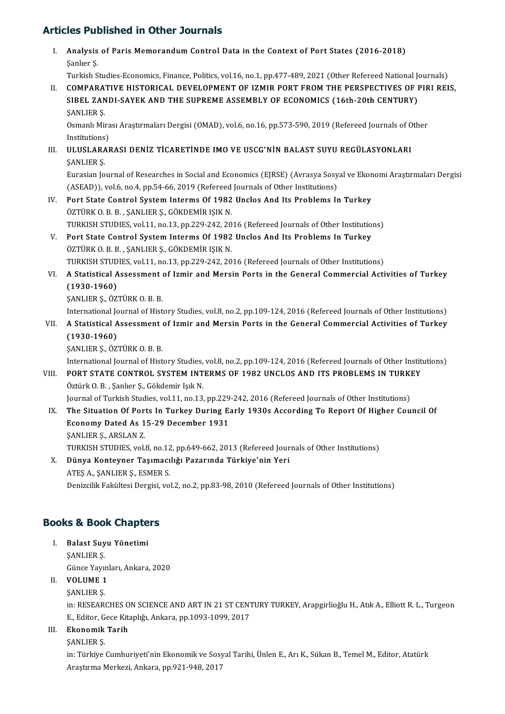|       | <b>Articles Published in Other Journals</b>                                                                                                                                                                                                                                                                 |
|-------|-------------------------------------------------------------------------------------------------------------------------------------------------------------------------------------------------------------------------------------------------------------------------------------------------------------|
| L.    | Analysis of Paris Memorandum Control Data in the Context of Port States (2016-2018)<br>Şanlıer Ş                                                                                                                                                                                                            |
| II.   | Turkish Studies-Economics, Finance, Politics, vol.16, no.1, pp.477-489, 2021 (Other Refereed National Journals)<br>COMPARATIVE HISTORICAL DEVELOPMENT OF IZMIR PORT FROM THE PERSPECTIVES OF PIRI REIS,<br>SIBEL ZANDI-SAYEK AND THE SUPREME ASSEMBLY OF ECONOMICS (16th-20th CENTURY)<br><b>ŞANLIER Ş.</b> |
|       | Osmanlı Mirası Araştırmaları Dergisi (OMAD), vol.6, no.16, pp.573-590, 2019 (Refereed Journals of Other<br>Institutions)                                                                                                                                                                                    |
| III.  | ULUSLARARASI DENİZ TİCARETİNDE IMO VE USCG'NİN BALAST SUYU REGÜLASYONLARI<br><b>ŞANLIER Ş</b>                                                                                                                                                                                                               |
|       | Eurasian Journal of Researches in Social and Economics (EJRSE) (Avrasya Sosyal ve Ekonomi Araştırmaları Dergisi<br>(ASEAD)), vol.6, no.4, pp.54-66, 2019 (Refereed Journals of Other Institutions)                                                                                                          |
| IV.   | Port State Control System Interms Of 1982 Unclos And Its Problems In Turkey<br>ÖZTÜRK O.B. B., ŞANLIER Ş., GÖKDEMİR IŞIK N.                                                                                                                                                                                 |
| V.    | TURKISH STUDIES, vol.11, no.13, pp.229-242, 2016 (Refereed Journals of Other Institutions)<br>Port State Control System Interms Of 1982 Unclos And Its Problems In Turkey                                                                                                                                   |
|       | ÖZTÜRK O.B. B., ŞANLIER Ş., GÖKDEMİR IŞIK N.<br>TURKISH STUDIES, vol.11, no.13, pp.229-242, 2016 (Refereed Journals of Other Institutions)                                                                                                                                                                  |
| VI.   | A Statistical Assessment of Izmir and Mersin Ports in the General Commercial Activities of Turkey<br>$(1930 - 1960)$                                                                                                                                                                                        |
|       | SANLIER S., ÖZTÜRK O. B. B.<br>International Journal of History Studies, vol.8, no.2, pp.109-124, 2016 (Refereed Journals of Other Institutions)                                                                                                                                                            |
| VII.  | A Statistical Assessment of Izmir and Mersin Ports in the General Commercial Activities of Turkey<br>$(1930 - 1960)$<br>SANLIER S, ÖZTÜRK O B B.                                                                                                                                                            |
| VIII. | International Journal of History Studies, vol.8, no.2, pp.109-124, 2016 (Refereed Journals of Other Institutions)<br>PORT STATE CONTROL SYSTEM INTERMS OF 1982 UNCLOS AND ITS PROBLEMS IN TURKEY<br>Öztürk O.B., Şanlıer Ş., Gökdemir Işık N.                                                               |
| IX.   | Journal of Turkish Studies, vol.11, no.13, pp.229-242, 2016 (Refereed Journals of Other Institutions)<br>The Situation Of Ports In Turkey During Early 1930s According To Report Of Higher Council Of<br>Economy Dated As 15-29 December 1931                                                               |
|       | <b>SANLIER S., ARSLAN Z.</b><br>TURKISH STUDIES, vol.8, no.12, pp.649-662, 2013 (Refereed Journals of Other Institutions)                                                                                                                                                                                   |
| Χ.    | Dünya Konteyner Taşımacılığı Pazarında Türkiye'nin Yeri<br>ATES A., SANLIER S., ESMER S.                                                                                                                                                                                                                    |
|       | Denizcilik Fakültesi Dergisi, vol.2, no.2, pp.83-98, 2010 (Refereed Journals of Other Institutions)                                                                                                                                                                                                         |
|       |                                                                                                                                                                                                                                                                                                             |

- **Books & Book Chapters**<br>
I. Balast Suyu Yönetimi<br>
SANLIER S I. Balast Suyu Yönetimi<br>ŞANLIER Ş. GünceYayınları,Ankara,2020 SANLIER S.<br>Günce Yayın<br>II. **VOLUME 1** Günce Yayı<mark>ı</mark><br>VOLUME 1<br>ŞANLIER Ş.<br>in: RESEAR
	-

VOLUME 1<br>ŞANLIER Ş.<br>in: RESEARCHES ON SCIENCE AND ART IN 21 ST CENTURY TURKEY, Arapgirlioğlu H., Atık A., Elliott R. L., Turgeon<br>E. Editor Gese Kitaplığı, Ankara, pp.1093-1099-2017 ŞANLIER Ş.<br>in: RESEARCHES ON SCIENCE AND ART IN 21 ST CENT<br>E., Editor, Gece Kitaplığı, Ankara, pp.1093-1099, 2017<br>Ekanomik Tarih E., Editor, Gece Kitaplığı, Ankara, pp.1093-1099, 2017

## III. Ekonomik Tarih<br>ŞANLIER Ş.

Ekonomik Tarih<br>ŞANLIER Ş.<br>in: Türkiye Cumhuriyeti'nin Ekonomik ve Sosyal Tarihi, Ünlen E., Arı K., Sükan B., Temel M., Editor, Atatürk<br>Anastuma Markati, Ankara, pp.921-948-2917 ŞANLIER Ş.<br>in: Türkiye Cumhuriyeti'nin Ekonomik ve Sosy<br>Araştırma Merkezi, Ankara, pp.921-948, 2017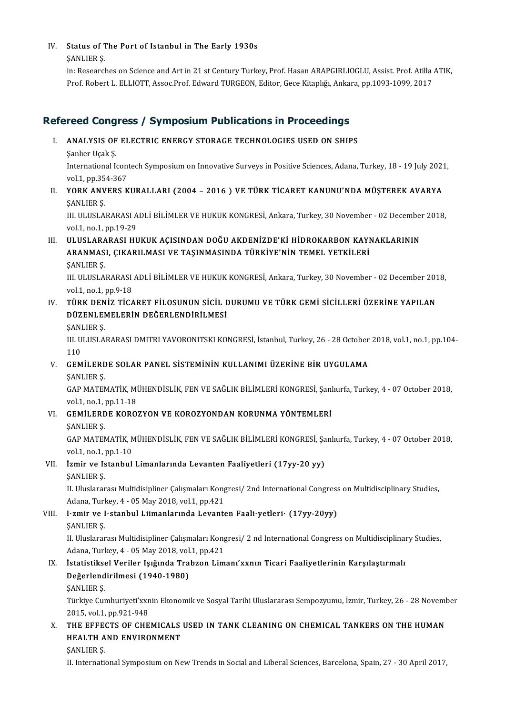## IV. Status of The Port of Istanbul in The Early 1930s Status of T<br>ŞANLIER Ş.<br>in: Pessansl

Status of The Port of Istanbul in The Early 1930s<br>ŞANLIER Ş.<br>in: Researches on Science and Art in 21 st Century Turkey, Prof. Hasan ARAPGIRLIOGLU, Assist. Prof. Atilla ATIK, ŞANLIER Ş.<br>in: Researches on Science and Art in 21 st Century Turkey, Prof. Hasan ARAPGIRLIOGLU, Assist. Prof. Atilla .<br>Prof. Robert L. ELLIOTT, Assoc.Prof. Edward TURGEON, Editor, Gece Kitaplığı, Ankara, pp.1093-1099, 201

# Refereed Congress / Symposium Publications in Proceedings<br>
I. ANALYSIS OF ELECTRIC ENERGY STORAGE TECHNOLOGIES USED ON SHIPS<br>
Sanker Hack S

- I. ANALYSIS OF ELECTRIC ENERGY STORAGE TECHNOLOGIES USED ON SHIPS<br>Sanlıer Uçak S.
	-

ANALYSIS OF ELECTRIC ENERGY STORAGE TECHNOLOGIES USED ON SHIPS<br>Şanlıer Uçak Ş.<br>International Icontech Symposium on Innovative Surveys in Positive Sciences, Adana, Turkey, 18 - 19 July 2021,<br>vel 1 nn 254-267 Sanlier Uçak Ş.<br>International Icon<br>vol.1, pp.354-367<br>VORK ANVERS K International Icontech Symposium on Innovative Surveys in Positive Sciences, Adana, Turkey, 18 - 19 July 202:<br>vol.1, pp.354-367<br>II. YORK ANVERS KURALLARI (2004 – 2016 ) VE TÜRK TİCARET KANUNU'NDA MÜŞTEREK AVARYA<br>SANLIER S

vol.1, pp.35<br>**YORK ANV**<br>ŞANLIER Ş.<br>III. III IISLA YORK ANVERS KURALLARI (2004 – 2016 ) VE TÜRK TİCARET KANUNU'NDA MÜŞTEREK AVARYA<br>ŞANLIER Ş.<br>III. ULUSLARARASI ADLİ BİLİMLER VE HUKUK KONGRESİ, Ankara, Turkey, 30 November - 02 December 2018,<br>Vel1 na 1 nn 19 39

ŞANLIER Ş.<br>III. ULUSLARARASI ADLİ BİLİMLER VE HUKUK KONGRESİ, Ankara, Turkey, 30 November - 02 December 2018,<br>vol.1, no.1, pp.19-29

III. ULUSLARARASI HUKUK ACISINDAN DOĞU AKDENİZDE'Kİ HİDROKARBON KAYNAKLARININ vol.1, no.1, pp.19-29<br>ULUSLARARASI HUKUK AÇISINDAN DOĞU AKDENİZDE'Kİ HİDROKARBON KAYI<br>ARANMASI, ÇIKARILMASI VE TAŞINMASINDA TÜRKİYE'NİN TEMEL YETKİLERİ<br>SANLIER S ULUSLARA<br>ARANMAS<br>ŞANLIER Ş. ARANMASI, ÇIKARILMASI VE TAŞINMASINDA TÜRKİYE'NİN TEMEL YETKİLERİ<br>ŞANLIER Ş.<br>III. ULUSLARARASI ADLİ BİLİMLER VE HUKUK KONGRESİ, Ankara, Turkey, 30 November - 02 December 2018,<br>VA<sup>1,</sup> PR.<sup>1,</sup> PP.<sup>0, 12</sup>

SANLIER S.<br>III. ULUSLARARASI<br>vol.1, no.1, pp.9-18<br>Tüp*v.* peniz tica III. ULUSLARARASI ADLİ BİLİMLER VE HUKUK KONGRESİ, Ankara, Turkey, 30 November - 02 December 201<br>vol.1, no.1, pp.9-18<br>IV. TÜRK DENİZ TİCARET FİLOSUNUN SİCİL DURUMU VE TÜRK GEMİ SİCİLLERİ ÜZERİNE YAPILAN

## vol.1, no.1, pp.9-18<br>TÜRK DENİZ TİCARET FİLOSUNUN SİCİL I<br>DÜZENLEMELERİN DEĞERLENDİRİLMESİ<br>SANLIER S <mark>TÜRK DEN</mark><br>DÜZENLEI<br>ŞANLIER Ş.<br>III III IISLA

DÜZENLEMELERİN DEĞERLENDİRİLMESİ<br>ŞANLIER Ş.<br>III. ULUSLARARASI DMITRI YAVORONITSKI KONGRESİ, İstanbul, Turkey, 26 - 28 October 2018, vol.1, no.1, pp.104-<br>110 SANI<br>III. U<br>110<br>CEM III. ULUSLARARASI DMITRI YAVORONITSKI KONGRESİ, İstanbul, Turkey, 26 - 28 October<br>110<br>V. GEMİLERDE SOLAR PANEL SİSTEMİNİN KULLANIMI ÜZERİNE BİR UYGULAMA<br>SANLIER S

## 110<br>V. GEMİLERDE SOLAR PANEL SİSTEMİNİN KULLANIMI ÜZERİNE BİR UYGULAMA<br>SANLIER S.

GEMİLERDE SOLAR PANEL SİSTEMİNİN KULLANIMI ÜZERİNE BİR UYGULAMA<br>ŞANLIER Ş.<br>GAP MATEMATİK, MÜHENDİSLİK, FEN VE SAĞLIK BİLİMLERİ KONGRESİ, Şanlıurfa, Turkey, 4 - 07 October 2018,<br>VAL1 na 1 nn 11 19 SANLIER Ș.<br>GAP MATEMATIK, MI<br>vol.1, no.1, pp.11-18<br>CEMILEPDE KORO. GAP MATEMATIK, MÜHENDISLIK, FEN VE SAĞLIK BILIMLERI KONGRESI, Şanl<br>vol.1, no.1, pp.11-18<br>VI. GEMILERDE KOROZYON VE KOROZYONDAN KORUNMA YÖNTEMLERI<br>SANLUER S

vol.1, no.1, pp.11-18<br>VI. GEMILERDE KOROZYON VE KOROZYONDAN KORUNMA YÖNTEMLERI<br>SANLIER S.

GEMİLERDE KOROZYON VE KOROZYONDAN KORUNMA YÖNTEMLERİ<br>ŞANLIER Ş.<br>GAP MATEMATİK, MÜHENDİSLİK, FEN VE SAĞLIK BİLİMLERİ KONGRESİ, Şanlıurfa, Turkey, 4 - 07 October 2018,<br>VR<sup>] 1</sup> PR <sup>1</sup> PP <sup>1 10</sup> SANLIER S.<br>GAP MATEMATIK, No.<br>1,no.1,pp.1-10<br>Irmin vo Istanbul GAP MATEMATİK, MÜHENDİSLİK, FEN VE SAĞLIK BİLİMLERİ KONGRESİ, Şa<br>vol.1, no.1, pp.1-10<br>VII. İzmir ve Istanbul Limanlarında Levanten Faaliyetleri (17yy-20 yy)<br>SANLIER S

## vol.1, no.1, pp.1-10<br>VII. İzmir ve Istanbul Limanlarında Levanten Faaliyetleri (17yy-20 yy)<br>ŞANLIER Ş.

İzmir ve Istanbul Limanlarında Levanten Faaliyetleri (17yy-20 yy)<br>ŞANLIER Ş.<br>II. Uluslararası Multidisipliner Çalışmaları Kongresi/ 2nd International Congress on Multidisciplinary Studies, ŞANLIER Ş.<br>II. Uluslararası Multidisipliner Çalışmaları Kong<br>Adana, Turkey, 4 - 05 May 2018, vol.1, pp.421<br>Lamir ve Letanbul Liimanlarında Levante Adana, Turkey, 4 - 05 May 2018, vol.1, pp.421

## VIII. I·zmir ve I·stanbul Liimanlarında Levanten Faali·yetleri· (17yy-20yy)<br>SANLIER S.

II. Uluslararası Multidisipliner Çalışmaları Kongresi/ 2 nd International Congress on Multidisciplinary Studies, ŞANLIER Ş.<br>II. Uluslararası Multidisipliner Çalışmaları Kong<br>Adana, Turkey, 4 - 05 May 2018, vol.1, pp.421<br>İstatistiksel Veriler Jerğında Trabzen Lim II. Üluslararası Multidisipliner Çalışmaları Kongresi/ 2 nd International Congress on Multidisciplinal<br>Adana, Turkey, 4 - 05 May 2018, vol.1, pp.421<br>IX. İstatistiksel Veriler Işığında Trabzon Limanı'xxnın Ticari Faaliyetle

## Adana, Turkey, 4 - 05 May 2018, vol.<br>İstatistiksel Veriler Işığında Tra<br>Değerlendirilmesi (1940-1980)<br>SANLIER S İstatistikse<br>Değerlend<br>ŞANLIER Ş.<br>Türkiye Cur

De**ğerlendirilmesi (1940-1980)**<br>ŞANLIER Ş.<br>Türkiye Cumhuriyeti'xxnin Ekonomik ve Sosyal Tarihi Uluslararası Sempozyumu, İzmir, Turkey, 26 - 28 November<br>2015. vel 1. pp.921.948 SANLIER Ș.<br>Türkiye Cumhuriyeti'xxn<br>2015, vol.1, pp.921-948<br>THE EEEECTS OF CHE Türkiye Cumhuriyeti'xxnin Ekonomik ve Sosyal Tarihi Uluslararası Sempozyumu, İzmir, Turkey, 26 - 28 Noveml<br>2015, vol.1, pp.921-948<br>X. THE EFFECTS OF CHEMICALS USED IN TANK CLEANING ON CHEMICAL TANKERS ON THE HUMAN<br>HEALTH A

## 2015, vol.1, pp.921-948<br>THE EFFECTS OF CHEMICALS<br>HEALTH AND ENVIRONMENT<br>SANLIER S THE EFFE<br>HEALTH A<br>ŞANLIER Ş.<br>U Interneti HEALTH AND ENVIRONMENT<br>SANLIER S.<br>II. International Symposium on New Trends in Social and Liberal Sciences, Barcelona, Spain, 27 - 30 April 2017,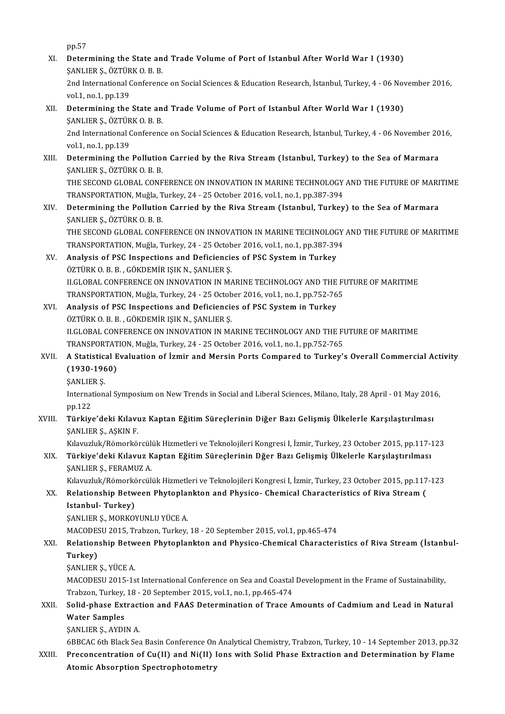pp.57

pp.57<br>XI. Determining the State and Trade Volume of Port of Istanbul After World War I (1930)<br>SANLIER S. ÖZTÜRKO R R pp.57<br>Determining the State an<br>ŞANLIER Ş., ÖZTÜRK O. B. B.<br>2nd International Conferenc SANLIER S., ÖZTÜRK O. B. B.

2nd International Conference on Social Sciences & Education Research, İstanbul, Turkey, 4 - 06 November 2016, vol.1, no.1, pp.139 2nd International Conference on Social Sciences & Education Research, İstanbul, Turkey, 4 - 06 Nov<br>vol.1, no.1, pp.139<br>XII. Determining the State and Trade Volume of Port of Istanbul After World War I (1930)<br>SANUER S. ÖZTÜ

vol.1, no.1, pp.139<br>Determining the State an<br>ŞANLIER Ş., ÖZTÜRK O. B. B.<br>2nd International Conferenc Determining the State and Trade Volume of Port of Istanbul After World War I (1930)<br>ŞANLIER Ş., ÖZTÜRK O. B. B.<br>2nd International Conference on Social Sciences & Education Research, İstanbul, Turkey, 4 - 06 November 2016,<br>

SANLIER Ș., ÖZTÜR<br>2nd International (<br>vol.1, no.1, pp.139<br>Petermining the 2nd International Conference on Social Sciences & Education Research, İstanbul, Turkey, 4 - 06 November 20<br>vol.1, no.1, pp.139<br>XIII. Determining the Pollution Carried by the Riva Stream (Istanbul, Turkey) to the Sea of Mar

vol.1, no.1, pp.139<br><mark>Determining the Pollutio</mark><br>ŞANLIER Ş., ÖZTÜRK O. B. B.<br>THE SECOND CLOBAL CONE Determining the Pollution Carried by the Riva Stream (Istanbul, Turkey) to the Sea of Marmara<br>ŞANLIER Ş., ÖZTÜRK O. B. B.<br>THE SECOND GLOBAL CONFERENCE ON INNOVATION IN MARINE TECHNOLOGY AND THE FUTURE OF MARITIME<br>TRANSPORT

ŞANLIER Ş., ÖZTÜRK O. B. B.<br>THE SECOND GLOBAL CONFERENCE ON INNOVATION IN MARINE TECHNOLOGY<br>TRANSPORTATION, Muğla, Turkey, 24 - 25 October 2016, vol.1, no.1, pp.387-394<br>Determining the Bollution Conriod by the Bive Stream THE SECOND GLOBAL CONFERENCE ON INNOVATION IN MARINE TECHNOLOGY AND THE FUTURE OF MARI<br>TRANSPORTATION, Muğla, Turkey, 24 - 25 October 2016, vol.1, no.1, pp.387-394<br>XIV. Determining the Pollution Carried by the Riva Stream

TRANSPORTATION, Muğla, T<br><mark>Determining the Pollutio</mark><br>ŞANLIER Ş., ÖZTÜRK O. B. B.<br>THE SECOND CLOBAL CONE Determining the Pollution Carried by the Riva Stream (Istanbul, Turkey) to the Sea of Marmara<br>ŞANLIER Ş., ÖZTÜRK O. B. B.<br>THE SECOND GLOBAL CONFERENCE ON INNOVATION IN MARINE TECHNOLOGY AND THE FUTURE OF MARITIME<br>TRANSPORT ŞANLIER Ş., ÖZTÜRK O. B. B.<br>THE SECOND GLOBAL CONFERENCE ON INNOVATION IN MARINE TECHNOLOGY AND THE FUTURE OF MARITIME

TRANSPORTATION, Muğla, Turkey, 24 - 25 October 2016, vol.1, no.1, pp.387-394

- XV. Analysis of PSC Inspections and Deficiencies of PSC System in Turkey<br>ÖZTÜRK O. B. B., GÖKDEMİR IŞIK N., SANLIER S. Analysis of PSC Inspections and Deficiencies of PSC System in Turkey<br>ÖZTÜRK O. B. B. , GÖKDEMİR IŞIK N., ŞANLIER Ş.<br>ILGLOBAL CONFERENCE ON INNOVATION IN MARINE TECHNOLOGY AND THE FUTURE OF MARITIME<br>TRANSPORTATION Muğla Tur ÖZTÜRK O. B. B., GÖKDEMİR IŞIK N., ŞANLIER Ş.<br>II.GLOBAL CONFERENCE ON INNOVATION IN MARINE TECHNOLOGY AND THE FI<br>TRANSPORTATION, Muğla, Turkey, 24 - 25 October 2016, vol.1, no.1, pp.752-765<br>Analysis of PSC Inspections and II.GLOBAL CONFERENCE ON INNOVATION IN MARINE TECHNOLOGY AND THE<br>TRANSPORTATION, Muğla, Turkey, 24 - 25 October 2016, vol.1, no.1, pp.752-76<br>XVI. Analysis of PSC Inspections and Deficiencies of PSC System in Turkey<br>ÖZTÜPK O
- TRANSPORTATION, Muğla, Turkey, 24 25 October 2016, vol.1, no.1, pp.752-765<br>Analysis of PSC Inspections and Deficiencies of PSC System in Turkey<br>ÖZTÜRK O. B. B. , GÖKDEMİR ISIK N., SANLIER S. Analysis of PSC Inspections and Deficiencies of PSC System in Turkey<br>ÖZTÜRK O. B. B. , GÖKDEMİR IŞIK N., ŞANLIER Ş.<br>ILGLOBAL CONFERENCE ON INNOVATION IN MARINE TECHNOLOGY AND THE FUTURE OF MARITIME<br>TRANSPORTATION Muğla Tur ÖZTÜRK O. B. B., GÖKDEMİR IŞIK N., ŞANLIER Ş.<br>II.GLOBAL CONFERENCE ON INNOVATION IN MARINE TECHNOLOGY AND THE FI<br>TRANSPORTATION, Muğla, Turkey, 24 - 25 October 2016, vol.1, no.1, pp.752-765<br>A Statistical Evaluation of İzmi ILGLOBAL CONFERENCE ON INNOVATION IN MARINE TECHNOLOGY AND THE FUTURE OF MARITIME<br>TRANSPORTATION, Muğla, Turkey, 24 - 25 October 2016, vol.1, no.1, pp.752-765<br>XVII. A Statistical Evaluation of İzmir and Mersin Ports Compar

## TRANSPORTATION, Muğla, Turkey, 24 - 25 October 2016, vol.1, no.1, pp.752-765<br>A Statistical Evaluation of İzmir and Mersin Ports Compared to Turkey'<br>(1930-1960)<br>SANLIER S. A Statistic:<br>(1930-196<br>ŞANLIER Ş.<br>Internation:

(1930-1960)<br>ŞANLIER Ş.<br>International Symposium on New Trends in Social and Liberal Sciences, Milano, Italy, 28 April - 01 May 2016,<br>nn 122 SANLIE<br>Internat<br>pp.122<br>Türkiy International Symposium on New Trends in Social and Liberal Sciences, Milano, Italy, 28 April - 01 May 201<br>1991. pp.122<br>XVIII. Türkiye'deki Kılavuz Kaptan Eğitim Süreçlerinin Diğer Bazı Gelişmiş Ülkelerle Karşılaştırıl

pp.122<br>Türkiye'deki Kılavuz Kaptan Eğitim Süreçlerinin Diğer Bazı Gelişmiş Ülkelerle Karşılaştırılması<br>ŞANLIER Ş., AŞKIN F. Türkiye'deki Kılavuz Kaptan Eğitim Süreçlerinin Diğer Bazı Gelişmiş Ülkelerle Karşılaştırılması<br>ŞANLIER Ş., AŞKIN F.<br>Kılavuzluk/Römorkörcülük Hizmetleri ve Teknolojileri Kongresi I, İzmir, Turkey, 23 October 2015, pp.117-1

## \$ANLIER \$., A\$KIN F.<br>Kılavuzluk/Römorkörcülük Hizmetleri ve Teknolojileri Kongresi I, İzmir, Turkey, 23 October 2015, pp.117-1<br>XIX. Türkiye'deki Kılavuz Kaptan Eğitim Süreçlerinin Dğer Bazı Gelişmiş Ülkelerle Karşılaşt Kılavuzluk/Römorkörcül<mark>:</mark><br>**Türkiye'deki Kılavuz K**<br>ŞANLIER Ş., FERAMUZ A.<br>Kılavuzluk (Dömorkörgül Türkiye'deki Kılavuz Kaptan Eğitim Süreçlerinin Dğer Bazı Gelişmiş Ülkelerle Karşılaştırılması<br>ŞANLIER Ş., FERAMUZ A.<br>Kılavuzluk/Römorkörcülük Hizmetleri ve Teknolojileri Kongresi I, İzmir, Turkey, 23 October 2015, pp.117-

\$ANLIER \$, FERAMUZ A.<br>Kılavuzluk/Römorkörcülük Hizmetleri ve Teknolojileri Kongresi I, İzmir, Turkey, 23 October 2015, pp.117<br>XX. Relationship Between Phytoplankton and Physico- Chemical Characteristics of Riva Stream ( Istanbul- Turkey)<br>SANLIER S., MORKOYUNLU YÜCE A. Relationship Between Phytoplai<br>Istanbul- Turkey)<br>ŞANLIER Ş., MORKOYUNLU YÜCE A.<br>MACODESU 2015 Trabaon Turkov

MACODESU 2015, Trabzon, Turkey, 18 - 20 September 2015, vol.1, pp.465-474

## \$ANLIER \$, MORKOYUNLU YÜCE A.<br>MACODESU 2015, Trabzon, Turkey, 18 - 20 September 2015, vol.1, pp.465-474<br>XXI. Relationship Between Phytoplankton and Physico-Chemical Characteristics of Riva Stream (İstanbul-<br>Turkey) MACODES<br><mark>Relation</mark><br>Turkey)<br>SANUER Relationship Betw<br>Turkey)<br>ŞANLIER Ş., YÜCE A.<br>MACODESU 2015-10

**Turkey)**<br>ŞANLIER Ş., YÜCE A.<br>MACODESU 2015-1st International Conference on Sea and Coastal Development in the Frame of Sustainability, \$ANLIER \$,, YÜCE A.<br>MACODESU 2015-1st International Conference on Sea and Coastal<br>Trabzon, Turkey, 18 - 20 September 2015, vol.1, no.1, pp.465-474<br>Solid Phase Eutrastion and EAAS Determination of Trase A Trabzon, Turkey, 18 - 20 September 2015, vol.1, no 1, pp. 465-474

## XXII. Solid-phase Extraction and FAAS Determination of Trace Amounts of Cadmium and Lead in Natural<br>Water Samples

ŞANLIER Ş., AYDIN A.

6BBCAC6thBlackSeaBasinConferenceOnAnalyticalChemistry,Trabzon,Turkey,10-14September 2013,pp.32

XXIII. Preconcentration of Cu(II) and Ni(II) Ions with Solid Phase Extraction and Determination by Flame Atomic Absorption Spectrophotometry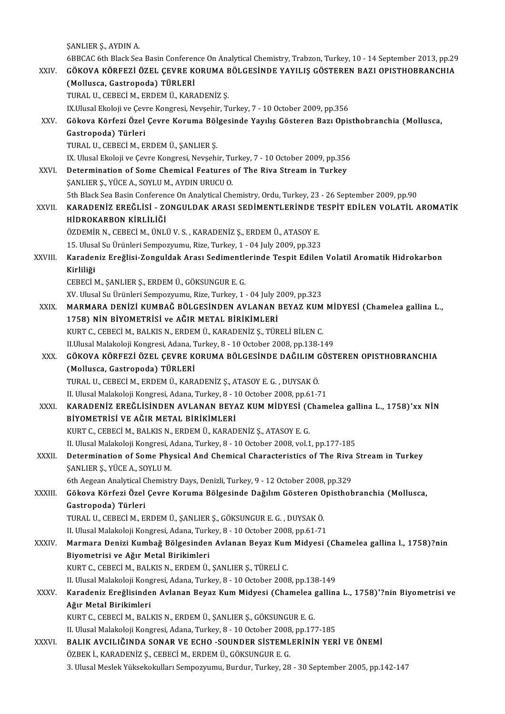|              | ŞANLIER Ş., AYDIN A.                                                                                          |
|--------------|---------------------------------------------------------------------------------------------------------------|
|              | 6BBCAC 6th Black Sea Basin Conference On Analytical Chemistry, Trabzon, Turkey, 10 - 14 September 2013, pp.29 |
| XXIV.        | GÖKOVA KÖRFEZİ ÖZEL ÇEVRE KORUMA BÖLGESİNDE YAYILIŞ GÖSTEREN BAZI OPISTHOBRANCHIA                             |
|              | (Mollusca, Gastropoda) TÜRLERİ                                                                                |
|              | TURAL U., CEBECİ M., ERDEM Ü., KARADENİZ Ş.                                                                   |
|              | IX.Ulusal Ekoloji ve Çevre Kongresi, Nevşehir, Turkey, 7 - 10 October 2009, pp.356                            |
| XXV.         | Gökova Körfezi Özel Çevre Koruma Bölgesinde Yayılış Gösteren Bazı Opisthobranchia (Mollusca,                  |
|              | Gastropoda) Türleri                                                                                           |
|              | TURAL U., CEBECİ M., ERDEM Ü., ŞANLIER Ş.                                                                     |
|              | IX. Ulusal Ekoloji ve Çevre Kongresi, Nevşehir, Turkey, 7 - 10 October 2009, pp.356                           |
| XXVI.        | Determination of Some Chemical Features of The Riva Stream in Turkey                                          |
|              | ŞANLIER Ş., YÜCE A., SOYLU M., AYDIN URUCU O.                                                                 |
|              | 5th Black Sea Basin Conference On Analytical Chemistry, Ordu, Turkey, 23 - 26 September 2009, pp.90           |
| <b>XXVII</b> | KARADENİZ EREĞLİSİ - ZONGULDAK ARASI SEDİMENTLERİNDE TESPİT EDİLEN VOLATİL AROMATİK                           |
|              | HİDROKARBON KİRLİLİĞİ                                                                                         |
|              | ÖZDEMİR N., CEBECİ M., ÜNLÜ V. S., KARADENİZ Ş., ERDEM Ü., ATASOY E.                                          |
|              | 15. Ulusal Su Ürünleri Sempozyumu, Rize, Turkey, 1 - 04 July 2009, pp.323                                     |
| XXVIII.      | Karadeniz Ereğlisi-Zonguldak Arası Sedimentlerinde Tespit Edilen Volatil Aromatik Hidrokarbon                 |
|              | Kirliliği                                                                                                     |
|              | CEBECİ M., ŞANLIER Ş., ERDEM Ü., GÖKSUNGUR E. G.                                                              |
|              | XV. Ulusal Su Ürünleri Sempozyumu, Rize, Turkey, 1 - 04 July 2009, pp.323                                     |
| XXIX.        | MARMARA DENİZİ KUMBAĞ BÖLGESİNDEN AVLANAN BEYAZ KUM MİDYESİ (Chamelea gallina L.,                             |
|              | 1758) NİN BİYOMETRİSİ ve AĞIR METAL BİRİKİMLERİ                                                               |
|              | KURT C., CEBECİ M., BALKIS N., ERDEM Ü., KARADENİZ Ş., TÜRELİ BİLEN C.                                        |
|              | II.Ulusal Malakoloji Kongresi, Adana, Turkey, 8 - 10 October 2008, pp.138-149                                 |
| XXX.         | GÖKOVA KÖRFEZİ ÖZEL ÇEVRE KORUMA BÖLGESİNDE DAĞILIM GÖSTEREN OPISTHOBRANCHIA                                  |
|              | (Mollusca, Gastropoda) TÜRLERİ                                                                                |
|              | TURAL U., CEBECİ M., ERDEM Ü., KARADENİZ Ş., ATASOY E. G., DUYSAK Ö.                                          |
|              | II. Ulusal Malakoloji Kongresi, Adana, Turkey, 8 - 10 October 2008, pp.61-71                                  |
| <b>XXXI</b>  | KARADENİZ EREĞLİSİNDEN AVLANAN BEYAZ KUM MİDYESİ (Chamelea gallina L., 1758)'xx NİN                           |
|              | BİYOMETRİSİ VE AĞIR METAL BİRİKİMLERİ                                                                         |
|              | KURT C., CEBECİ M., BALKIS N., ERDEM Ü., KARADENİZ Ş., ATASOY E. G.                                           |
|              | II. Ulusal Malakoloji Kongresi, Adana, Turkey, 8 - 10 October 2008, vol 1, pp 177-185                         |
| XXXII.       | Determination of Some Physical And Chemical Characteristics of The Riva Stream in Turkey                      |
|              | ŞANLIER Ş., YÜCE A., SOYLU M.                                                                                 |
|              | 6th Aegean Analytical Chemistry Days, Denizli, Turkey, 9 - 12 October 2008, pp.329                            |
| XXXIII       | Gökova Körfezi Özel Çevre Koruma Bölgesinde Dağılım Gösteren Opisthobranchia (Mollusca,                       |
|              | Gastropoda) Türleri                                                                                           |
|              | TURAL U., CEBECİ M., ERDEM Ü., ŞANLIER Ş., GÖKSUNGUR E. G., DUYSAK Ö.                                         |
|              | II. Ulusal Malakoloji Kongresi, Adana, Turkey, 8 - 10 October 2008, pp.61-71                                  |
| XXXIV.       | Marmara Denizi Kumbağ Bölgesinden Avlanan Beyaz Kum Midyesi (Chamelea gallina l., 1758)?nin                   |
|              | Biyometrisi ve Ağır Metal Birikimleri                                                                         |
|              | KURT C., CEBECİ M., BALKIS N., ERDEM Ü., ŞANLIER Ş., TÜRELİ C.                                                |
|              | II. Ulusal Malakoloji Kongresi, Adana, Turkey, 8 - 10 October 2008, pp.138-149                                |
| XXXV.        | Karadeniz Ereğlisinden Avlanan Beyaz Kum Midyesi (Chamelea gallina L., 1758)'?nin Biyometrisi ve              |
|              | Ağır Metal Birikimleri                                                                                        |
|              | KURT C., CEBECİ M., BALKIS N., ERDEM Ü., ŞANLIER Ş., GÖKSUNGUR E. G.                                          |
|              | II. Ulusal Malakoloji Kongresi, Adana, Turkey, 8 - 10 October 2008, pp 177-185                                |
| XXXVI.       | BALIK AVCILIĞINDA SONAR VE ECHO - SOUNDER SISTEMLERININ YERI VE ÖNEMI                                         |
|              | ÖZBEK İ., KARADENİZ Ş., CEBECİ M., ERDEM Ü., GÖKSUNGUR E. G.                                                  |
|              | 3. Ulusal Meslek Yüksekokulları Sempozyumu, Burdur, Turkey, 28 - 30 September 2005, pp.142-147                |
|              |                                                                                                               |